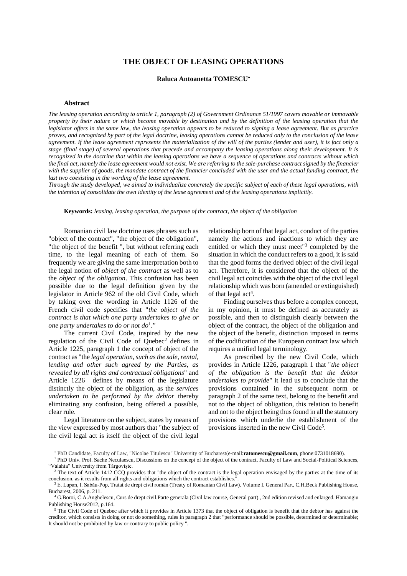# **THE OBJECT OF LEASING OPERATIONS**

## **Raluca Antoanetta TOMESCU**

#### **Abstract**

*The leasing operation according to article 1, paragraph (2) of Government Ordinance 51/1997 covers movable or immovable property by their nature or which become movable by destination and by the definition of the leasing operation that the legislator offers in the same law, the leasing operation appears to be reduced to signing a lease agreement. But as practice proves, and recognized by part of the legal doctrine, leasing operations cannot be reduced only to the conclusion of the lease agreement. If the lease agreement represents the materialization of the will of the parties (lender and user), it is fact only a stage (final stage) of several operations that precede and accompany the leasing operations along their development. It is recognized in the doctrine that within the leasing operations we have a sequence of operations and contracts without which the final act, namely the lease agreement would not exist. We are referring to the sale-purchase contract signed by the financier*  with the supplier of goods, the mandate contract of the financier concluded with the user and the actual funding contract, the *last two coexisting in the wording of the lease agreement.* 

*Through the study developed, we aimed to individualize concretely the specific subject of each of these legal operations, with the intention of consolidate the own identity of the lease agreement and of the leasing operations implicitly.* 

**Keywords:** *leasing, leasing operation, the purpose of the contract, the object of the obligation* 

Romanian civil law doctrine uses phrases such as "object of the contract", "the object of the obligation", "the object of the benefit ", but without referring each time, to the legal meaning of each of them. So frequently we are giving the same interpretation both to the legal notion of *object of the contract* as well as to the *object of the obligation*. This confusion has been possible due to the legal definition given by the legislator in Article 962 of the old Civil Code, which by taking over the wording in Article 1126 of the French civil code specifies that "*the object of the contract is that which one party undertakes to give or one party undertakes to do or not do*<sup>1</sup> *."*

The current Civil Code, inspired by the new regulation of the Civil Code of Quebec<sup>2</sup> defines in Article 1225, paragraph 1 the concept of object of the contract as "the *legal operation, such as the sale, rental, lending and other such agreed by the Parties, as revealed by all rights and contractual obligations*" and Article 1226 defines by means of the legislature distinctly the object of the obligation, as the *services undertaken to be performed by the debtor* thereby eliminating any confusion, being offered a possible, clear rule.

Legal literature on the subject, states by means of the view expressed by most authors that "the subject of the civil legal act is itself the object of the civil legal relationship born of that legal act, conduct of the parties namely the actions and inactions to which they are entitled or which they must meet"<sup>3</sup> completed by the situation in which the conduct refers to a good, it is said that the good forms the derived object of the civil legal act. Therefore, it is considered that the object of the civil legal act coincides with the object of the civil legal relationship which was born (amended or extinguished) of that legal act<sup>4</sup>.

Finding ourselves thus before a complex concept, in my opinion, it must be defined as accurately as possible, and then to distinguish clearly between the object of the contract, the object of the obligation and the object of the benefit, distinction imposed in terms of the codification of the European contract law which requires a unified legal terminology.

As prescribed by the new Civil Code, which provides in Article 1226, paragraph 1 that "*the object of the obligation is the benefit that the debtor undertakes to provide"* it lead us to conclude that the provisions contained in the subsequent norm or paragraph 2 of the same text, belong to the benefit and not to the object of obligation, this relation to benefit and not to the object being thus found in all the statutory provisions which underlie the establishment of the provisions inserted in the new Civil Code<sup>5</sup>.

PhD Candidate, Faculty of Law, "Nicolae Titulescu" University of Bucharest(e-mail:**ratomescu@gmail.com**, phone:0731018690).

<sup>&</sup>lt;sup>1</sup> PhD Univ. Prof. Sache Neculaescu, Discussions on the concept of the object of the contract, Faculty of Law and Social-Political Sciences, "Valahia" University from Târgovişte.

The text of Article 1412 CCQ provides that "the object of the contract is the legal operation envisaged by the parties at the time of its conclusion, as it results from all rights and obligations which the contract establishes.".

<sup>&</sup>lt;sup>3</sup> E. Lupan, I. Sabău-Pop, Tratat de drept civil român (Treaty of Romanian Civil Law). Volume I. General Part, C.H.Beck Publishing House, Bucharest, 2006, p. 211.

<sup>4</sup> G.Boroi, C.A.Anghelescu, Curs de drept civil.Parte generala (Civil law course, General part)., 2nd edition revised and enlarged. Hamangiu Publishing House2012, p.164.

<sup>5</sup> The Civil Code of Quebec after which it provides in Article 1373 that the object of obligation is benefit that the debtor has against the creditor, which consists in doing or not do something, rules in paragraph 2 that "performance should be possible, determined or determinable; It should not be prohibited by law or contrary to public policy ".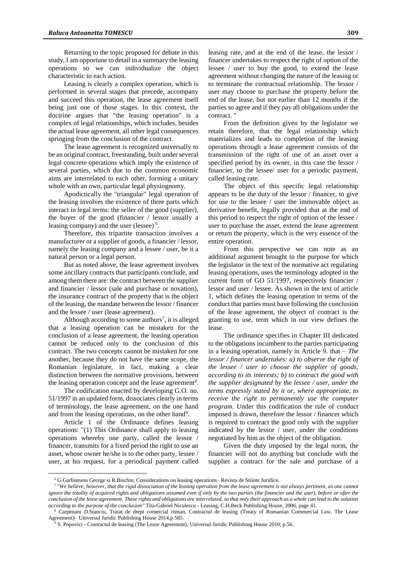Returning to the topic proposed for debate in this study, I am opportune to detail in a summary the leasing operations so we can individualize the object characteristic to each action.

Leasing is clearly a complex operation, which is performed in several stages that precede, accompany and succeed this operation, the lease agreement itself being just one of those stages. In this context, the doctrine argues that "the leasing operation" is a complex of legal relationships, which includes, besides the actual lease agreement, all other legal consequences springing from the conclusion of the contract.

The lease agreement is recognized universally to be an original contract, freestanding, built under several legal concrete operations which imply the existence of several parties, which due to the common economic aims are interrelated to each other, forming a unitary whole with an own, particular legal physiognomy.

Apodictically the "triangular" legal operation of the leasing involves the existence of three parts which interact in legal terms: the seller of the good (supplier), the buyer of the good (financier / lessor usually a leasing company) and the user (lessee)<sup>6</sup>.

Therefore, this tripartite transaction involves a manufacturer or a supplier of goods, a financier / lessor, namely the leasing company and a lessee / user, be it a natural person or a legal person.

But as noted above, the lease agreement involves some ancillary contracts that participants conclude, and among them there are: the contract between the supplier and financier / lessor (sale and purchase or novation), the insurance contract of the property that is the object of the leasing, the mandate between the lessor / financer and the lessee / user (lease agreement).

Although according to some authors<sup>7</sup>, it is alleged that a leasing operation can be mistaken for the conclusion of a lease agreement, the leasing operation cannot be reduced only to the conclusion of this contract. The two concepts cannot be mistaken for one another, because they do not have the same scope, the Romanian legislature, in fact, making a clear distinction between the normative provisions, between the leasing operation concept and the lease agreement<sup>8</sup>.

The codification enacted by developing G.O. no. 51/1997 in an updated form, dissociates clearly in terms of terminology, the lease agreement, on the one hand and from the leasing operations, on the other hand<sup>9</sup>.

Article 1 of the Ordinance defines leasing operations: "(1) This Ordinance shall apply to leasing operations whereby one party, called the lessor / financer, transmits for a fixed period the right to use an asset, whose owner he/she is to the other party, lessee / user, at his request, for a periodical payment called

 $\overline{a}$ 

leasing rate, and at the end of the lease, the lessor / financer undertakes to respect the right of option of the lessee / user to buy the good, to extend the lease agreement without changing the nature of the leasing or to terminate the contractual relationship. The lessor / user may choose to purchase the property before the end of the lease, but not earlier than 12 months if the parties so agree and if they pay all obligations under the contract.

From the definition given by the legislator we retain therefore, that the legal relationship which materializes and leads to completion of the leasing operations through a lease agreement consists of the transmission of the right of use of an asset over a specified period by its owner, in this case the lessor / financier, to the lessee/ user for a periodic payment, called leasing rate.

The object of this specific legal relationship appears to be the duty of the lessor / financer, to give for use to the lessee / user the immovable object as derivative benefit, legally provided that at the end of this period to respect the right of option of the lessee / user to purchase the asset, extend the lease agreement or return the property, which is the very essence of the entire operation.

From this perspective we can note as an additional argument brought to the purpose for which the legislator in the text of the normative act regulating leasing operations, uses the terminology adopted in the current form of GO 51/1997, respectively financier / lessor and user / lessee. As shown in the text of article 1, which defines the leasing operation in terms of the conduct that parties must have following the conclusion of the lease agreement, the object of contract is the granting to use, term which in our view defines the lease.

The ordinance specifies in Chapter III dedicated to the obligations incumbent to the parties participating in a leasing operation, namely in Article 9. that – *The lessor / financer undertakes: a) to observe the right of the lessee / user to choose the supplier of goods, according to its interests; b) to contract the good with the supplier designated by the lessee / user, under the terms expressly stated by it or, where appropriate, to receive the right to permanently use the computer program.* Under this codification the rule of conduct imposed is drawn, therefore the lessor / financer which is required to contract the good only with the supplier indicated by the lessor / user, under the conditions negotiated by him as the object of the obligation.

Given the duty imposed by the legal norm, the financier will not do anything but conclude with the supplier a contract for the sale and purchase of a

<sup>6</sup> G.Garlisteanu George si R.Bischin, Considerations on leasing operations– Revista de Stiinte Juridice.

<sup>7</sup> "*We believe, however, that the rigid dissociation of the leasing operation from the lease agreement is not always pertinent, as one cannot ignore the totality of acquired rights and obligations assumed even if only by the two parties (the financier and the user), before or after the conclusion of the lease agreement. These rights and obligations are interrelated, so that only their approach as a whole can lead to the solution according to the purpose of the conclusion"* Tita-Gabriel Niculescu - Leasing, C.H.Beck Publishing House, 2006, page 41.

<sup>8</sup> Carpenaru D.Stanciu, Tratat de drept comercial roman, Contractul de leasing (Treaty of Romanian Commercial Law. The Lease Agreement)– Universul Juridic Publishing House 2014,p.585.

<sup>9</sup> S. Popovici - Contractul de leasing (The Lease Agreement), Universul Juridic Publishing House 2010; p.56.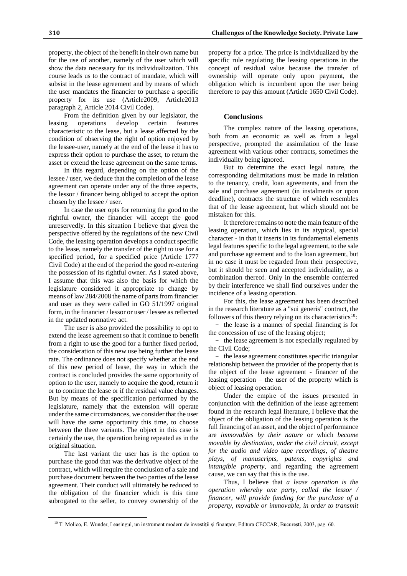property, the object of the benefit in their own name but for the use of another, namely of the user which will show the data necessary for its individualization. This course leads us to the contract of mandate, which will subsist in the lease agreement and by means of which the user mandates the financier to purchase a specific property for its use (Article2009, Article2013 paragraph 2, Article 2014 Civil Code).

From the definition given by our legislator, the leasing operations develop certain features characteristic to the lease, but a lease affected by the condition of observing the right of option enjoyed by the lessee-user, namely at the end of the lease it has to express their option to purchase the asset, to return the asset or extend the lease agreement on the same terms.

In this regard, depending on the option of the lessee / user, we deduce that the completion of the lease agreement can operate under any of the three aspects, the lessor / financer being obliged to accept the option chosen by the lessee / user.

In case the user opts for returning the good to the rightful owner, the financier will accept the good unreservedly. In this situation I believe that given the perspective offered by the regulations of the new Civil Code, the leasing operation develops a conduct specific to the lease, namely the transfer of the right to use for a specified period, for a specified price (Article 1777 Civil Code) at the end of the period the good re-entering the possession of its rightful owner. As I stated above, I assume that this was also the basis for which the legislature considered it appropriate to change by means of law 284/2008 the name of parts from financier and user as they were called in GO 51/1997 original form, in the financier / lessor or user / lessee as reflected in the updated normative act.

The user is also provided the possibility to opt to extend the lease agreement so that it continue to benefit from a right to use the good for a further fixed period, the consideration of this new use being further the lease rate. The ordinance does not specify whether at the end of this new period of lease, the way in which the contract is concluded provides the same opportunity of option to the user, namely to acquire the good, return it or to continue the lease or if the residual value changes. But by means of the specification performed by the legislature, namely that the extension will operate under the same circumstances, we consider that the user will have the same opportunity this time, to choose between the three variants. The object in this case is certainly the use, the operation being repeated as in the original situation.

The last variant the user has is the option to purchase the good that was the derivative object of the contract, which will require the conclusion of a sale and purchase document between the two parties of the lease agreement. Their conduct will ultimately be reduced to the obligation of the financier which is this time subrogated to the seller, to convey ownership of the

 $\overline{a}$ 

property for a price. The price is individualized by the specific rule regulating the leasing operations in the concept of residual value because the transfer of ownership will operate only upon payment, the obligation which is incumbent upon the user being therefore to pay this amount (Article 1650 Civil Code).

# **Conclusions**

The complex nature of the leasing operations, both from an economic as well as from a legal perspective, prompted the assimilation of the lease agreement with various other contracts, sometimes the individuality being ignored.

But to determine the exact legal nature, the corresponding delimitations must be made in relation to the tenancy, credit, loan agreements, and from the sale and purchase agreement (in instalments or upon deadline), contracts the structure of which resembles that of the lease agreement, but which should not be mistaken for this.

It therefore remains to note the main feature of the leasing operation, which lies in its atypical, special character - in that it inserts in its fundamental elements legal features specific to the legal agreement, to the sale and purchase agreement and to the loan agreement, but in no case it must be regarded from their perspective, but it should be seen and accepted individuality, as a combination thereof. Only in the ensemble conferred by their interference we shall find ourselves under the incidence of a leasing operation.

For this, the lease agreement has been described in the research literature as a "sui generis" contract, the followers of this theory relying on its characteristics<sup>10</sup>:

- the lease is a manner of special financing is for the concession of use of the leasing object;

- the lease agreement is not especially regulated by the Civil Code;

- the lease agreement constitutes specific triangular relationship between the provider of the property that is the object of the lease agreement - financer of the leasing operation – the user of the property which is object of leasing operation.

Under the empire of the issues presented in conjunction with the definition of the lease agreement found in the research legal literature, I believe that the object of the obligation of the leasing operation is the full financing of an asset, and the object of performance are *immovables by their nature* or which *become movable by destination*, *under the civil circuit*, *except for the audio and video tape recordings, of theatre plays, of manuscripts, patents, copyrights and intangible property*, and regarding the agreement cause, we can say that this is the use.

Thus, I believe that *a lease operation is the operation whereby one party, called the lessor / financer, will provide funding for the purchase of a property, movable or immovable, in order to transmit* 

<sup>&</sup>lt;sup>10</sup> T. Molico, E. Wunder, Leasingul, un instrument modern de investiții și finanțare, Editura CECCAR, București, 2003, pag. 60.